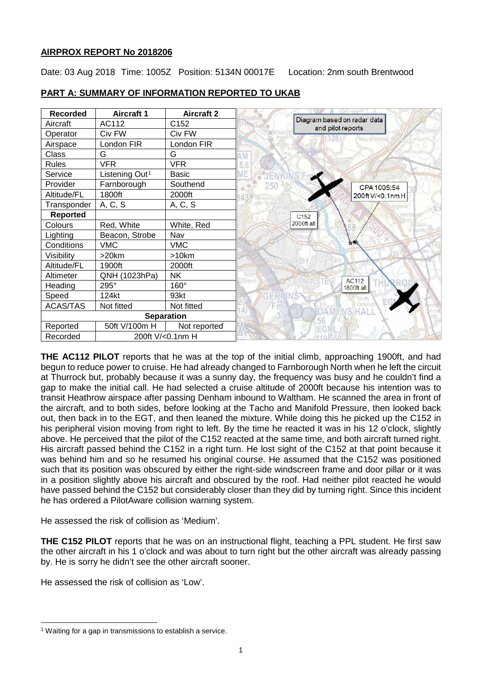# **AIRPROX REPORT No 2018206**

Date: 03 Aug 2018 Time: 1005Z Position: 5134N 00017E Location: 2nm south Brentwood

| <b>Recorded</b>   | <b>Aircraft 1</b>          | <b>Aircraft 2</b> |                                                  |
|-------------------|----------------------------|-------------------|--------------------------------------------------|
| Aircraft          | AC112                      | C152              | Diagram based on radar data<br>and pilot reports |
| Operator          | Civ FW                     | Civ FW            |                                                  |
| Airspace          | London FIR                 | London FIR        |                                                  |
| Class             | G                          | G                 |                                                  |
| <b>Rules</b>      | <b>VFR</b>                 | <b>VFR</b>        |                                                  |
| Service           | Listening Out <sup>1</sup> | <b>Basic</b>      |                                                  |
| Provider          | Farnborough                | Southend          | 250<br>CPA 1005:54                               |
| Altitude/FL       | 1800ft                     | 2000ft            | 200ft V/<0.1nmH                                  |
| Transponder       | A, C, S                    | A, C, S           |                                                  |
| <b>Reported</b>   |                            |                   | C <sub>152</sub>                                 |
| Colours           | Red, White                 | White, Red        | 2000ft alt                                       |
| Lighting          | Beacon, Strobe             | Nav               |                                                  |
| Conditions        | <b>VMC</b>                 | <b>VMC</b>        |                                                  |
| Visibility        | >20km                      | >10km             |                                                  |
| Altitude/FL       | 1900ft                     | 2000ft            |                                                  |
| Altimeter         | QNH (1023hPa)              | <b>NK</b>         | <b>AC112</b>                                     |
| Heading           | 295°                       | 160°              | 1800ft alt                                       |
| Speed             | 124kt                      | 93kt              | North                                            |
| <b>ACAS/TAS</b>   | Not fitted                 | Not fitted        | Ockend                                           |
| <b>Separation</b> |                            |                   | ALI                                              |
| Reported          | 50ft V/100m H              | Not reported      |                                                  |
| Recorded          | 200ft V/<0.1nm H           |                   |                                                  |

# **PART A: SUMMARY OF INFORMATION REPORTED TO UKAB**

**THE AC112 PILOT** reports that he was at the top of the initial climb, approaching 1900ft, and had begun to reduce power to cruise. He had already changed to Farnborough North when he left the circuit at Thurrock but, probably because it was a sunny day, the frequency was busy and he couldn't find a gap to make the initial call. He had selected a cruise altitude of 2000ft because his intention was to transit Heathrow airspace after passing Denham inbound to Waltham. He scanned the area in front of the aircraft, and to both sides, before looking at the Tacho and Manifold Pressure, then looked back out, then back in to the EGT, and then leaned the mixture. While doing this he picked up the C152 in his peripheral vision moving from right to left. By the time he reacted it was in his 12 o'clock, slightly above. He perceived that the pilot of the C152 reacted at the same time, and both aircraft turned right. His aircraft passed behind the C152 in a right turn. He lost sight of the C152 at that point because it was behind him and so he resumed his original course. He assumed that the C152 was positioned such that its position was obscured by either the right-side windscreen frame and door pillar or it was in a position slightly above his aircraft and obscured by the roof. Had neither pilot reacted he would have passed behind the C152 but considerably closer than they did by turning right. Since this incident he has ordered a PilotAware collision warning system.

He assessed the risk of collision as 'Medium'.

**THE C152 PILOT** reports that he was on an instructional flight, teaching a PPL student. He first saw the other aircraft in his 1 o'clock and was about to turn right but the other aircraft was already passing by. He is sorry he didn't see the other aircraft sooner.

He assessed the risk of collision as 'Low'.

 $\overline{\phantom{a}}$ 

<span id="page-0-0"></span><sup>&</sup>lt;sup>1</sup> Waiting for a gap in transmissions to establish a service.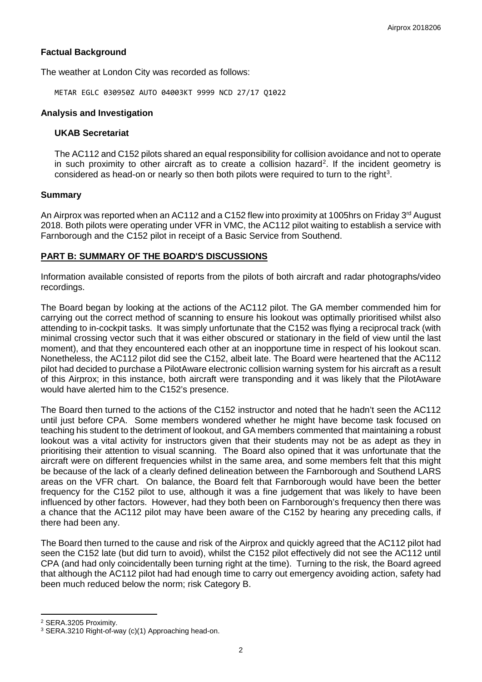# **Factual Background**

The weather at London City was recorded as follows:

METAR EGLC 030950Z AUTO 04003KT 9999 NCD 27/17 Q1022

### **Analysis and Investigation**

### **UKAB Secretariat**

The AC112 and C152 pilots shared an equal responsibility for collision avoidance and not to operate in such proximity to other aircraft as to create a collision hazard<sup>[2](#page-1-0)</sup>. If the incident geometry is considered as head-on or nearly so then both pilots were required to turn to the right<sup>[3](#page-1-1)</sup>.

### **Summary**

An Airprox was reported when an AC112 and a C152 flew into proximity at 1005hrs on Friday 3<sup>rd</sup> August 2018. Both pilots were operating under VFR in VMC, the AC112 pilot waiting to establish a service with Farnborough and the C152 pilot in receipt of a Basic Service from Southend.

# **PART B: SUMMARY OF THE BOARD'S DISCUSSIONS**

Information available consisted of reports from the pilots of both aircraft and radar photographs/video recordings.

The Board began by looking at the actions of the AC112 pilot. The GA member commended him for carrying out the correct method of scanning to ensure his lookout was optimally prioritised whilst also attending to in-cockpit tasks. It was simply unfortunate that the C152 was flying a reciprocal track (with minimal crossing vector such that it was either obscured or stationary in the field of view until the last moment), and that they encountered each other at an inopportune time in respect of his lookout scan. Nonetheless, the AC112 pilot did see the C152, albeit late. The Board were heartened that the AC112 pilot had decided to purchase a PilotAware electronic collision warning system for his aircraft as a result of this Airprox; in this instance, both aircraft were transponding and it was likely that the PilotAware would have alerted him to the C152's presence.

The Board then turned to the actions of the C152 instructor and noted that he hadn't seen the AC112 until just before CPA. Some members wondered whether he might have become task focused on teaching his student to the detriment of lookout, and GA members commented that maintaining a robust lookout was a vital activity for instructors given that their students may not be as adept as they in prioritising their attention to visual scanning. The Board also opined that it was unfortunate that the aircraft were on different frequencies whilst in the same area, and some members felt that this might be because of the lack of a clearly defined delineation between the Farnborough and Southend LARS areas on the VFR chart. On balance, the Board felt that Farnborough would have been the better frequency for the C152 pilot to use, although it was a fine judgement that was likely to have been influenced by other factors. However, had they both been on Farnborough's frequency then there was a chance that the AC112 pilot may have been aware of the C152 by hearing any preceding calls, if there had been any.

The Board then turned to the cause and risk of the Airprox and quickly agreed that the AC112 pilot had seen the C152 late (but did turn to avoid), whilst the C152 pilot effectively did not see the AC112 until CPA (and had only coincidentally been turning right at the time). Turning to the risk, the Board agreed that although the AC112 pilot had had enough time to carry out emergency avoiding action, safety had been much reduced below the norm; risk Category B.

l

<span id="page-1-0"></span><sup>2</sup> SERA.3205 Proximity.

<span id="page-1-1"></span><sup>3</sup> SERA.3210 Right-of-way (c)(1) Approaching head-on.